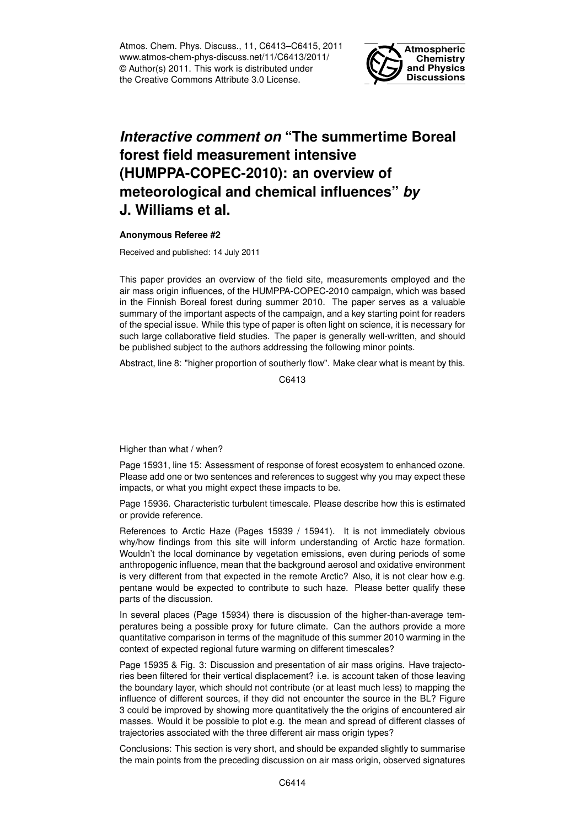Atmos. Chem. Phys. Discuss., 11, C6413–C6415, 2011 www.atmos-chem-phys-discuss.net/11/C6413/2011/ © Author(s) 2011. This work is distributed under the Creative Commons Attribute 3.0 License.



## *Interactive comment on* **"The summertime Boreal forest field measurement intensive (HUMPPA-COPEC-2010): an overview of meteorological and chemical influences"** *by* **J. Williams et al.**

## **Anonymous Referee #2**

Received and published: 14 July 2011

This paper provides an overview of the field site, measurements employed and the air mass origin influences, of the HUMPPA-COPEC-2010 campaign, which was based in the Finnish Boreal forest during summer 2010. The paper serves as a valuable summary of the important aspects of the campaign, and a key starting point for readers of the special issue. While this type of paper is often light on science, it is necessary for such large collaborative field studies. The paper is generally well-written, and should be published subject to the authors addressing the following minor points.

Abstract, line 8: "higher proportion of southerly flow". Make clear what is meant by this.

C6413

Higher than what / when?

Page 15931, line 15: Assessment of response of forest ecosystem to enhanced ozone. Please add one or two sentences and references to suggest why you may expect these impacts, or what you might expect these impacts to be.

Page 15936. Characteristic turbulent timescale. Please describe how this is estimated or provide reference.

References to Arctic Haze (Pages 15939 / 15941). It is not immediately obvious why/how findings from this site will inform understanding of Arctic haze formation. Wouldn't the local dominance by vegetation emissions, even during periods of some anthropogenic influence, mean that the background aerosol and oxidative environment is very different from that expected in the remote Arctic? Also, it is not clear how e.g. pentane would be expected to contribute to such haze. Please better qualify these parts of the discussion.

In several places (Page 15934) there is discussion of the higher-than-average temperatures being a possible proxy for future climate. Can the authors provide a more quantitative comparison in terms of the magnitude of this summer 2010 warming in the context of expected regional future warming on different timescales?

Page 15935 & Fig. 3: Discussion and presentation of air mass origins. Have trajectories been filtered for their vertical displacement? i.e. is account taken of those leaving the boundary layer, which should not contribute (or at least much less) to mapping the influence of different sources, if they did not encounter the source in the BL? Figure 3 could be improved by showing more quantitatively the the origins of encountered air masses. Would it be possible to plot e.g. the mean and spread of different classes of trajectories associated with the three different air mass origin types?

Conclusions: This section is very short, and should be expanded slightly to summarise the main points from the preceding discussion on air mass origin, observed signatures